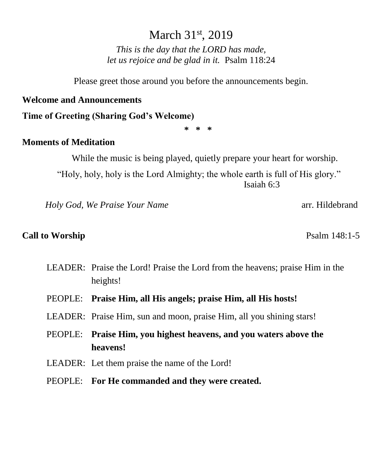# March 31<sup>st</sup>, 2019

*This is the day that the LORD has made, let us rejoice and be glad in it.* Psalm 118:24

Please greet those around you before the announcements begin.

#### **Welcome and Announcements**

**Time of Greeting (Sharing God's Welcome)**

**\* \* \***

### **Moments of Meditation**

While the music is being played, quietly prepare your heart for worship.

"Holy, holy, holy is the Lord Almighty; the whole earth is full of His glory." Isaiah 6:3

*Holy God, We Praise Your Name* **arrival arrival arrival arrival arrival arrival arrival arrival arrival arrival arrival arrival arrival arrival arrival arrival arrival arrival arrival arrival arrival arrival arrival arriv** 

### **Call to Worship**  Psalm 148:1-5

- LEADER: Praise the Lord! Praise the Lord from the heavens; praise Him in the heights!
- PEOPLE: **Praise Him, all His angels; praise Him, all His hosts!**
- LEADER: Praise Him, sun and moon, praise Him, all you shining stars!
- PEOPLE: **Praise Him, you highest heavens, and you waters above the heavens!**
- LEADER: Let them praise the name of the Lord!
- PEOPLE: **For He commanded and they were created.**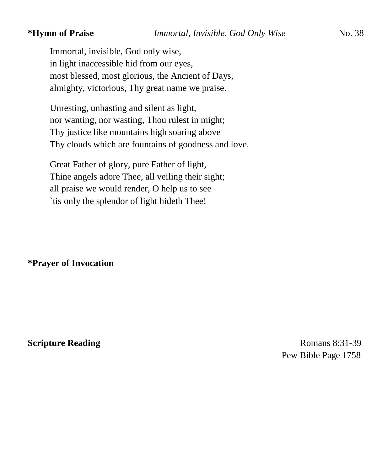Immortal, invisible, God only wise, in light inaccessible hid from our eyes, most blessed, most glorious, the Ancient of Days, almighty, victorious, Thy great name we praise.

Unresting, unhasting and silent as light, nor wanting, nor wasting, Thou rulest in might; Thy justice like mountains high soaring above Thy clouds which are fountains of goodness and love.

Great Father of glory, pure Father of light, Thine angels adore Thee, all veiling their sight; all praise we would render, O help us to see `tis only the splendor of light hideth Thee!

**\*Prayer of Invocation** 

**Scripture Reading** Romans 8:31-39 Pew Bible Page 1758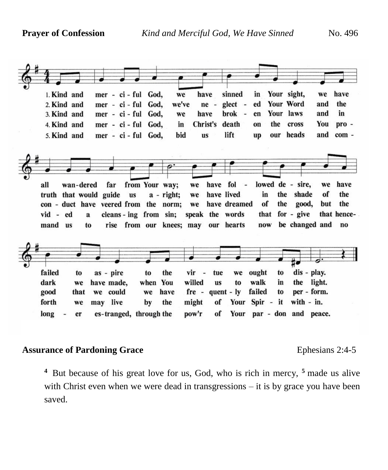

#### **Assurance of Pardoning Grace** Ephesians 2:4-5

**<sup>4</sup>** But because of his great love for us, God, who is rich in mercy, **<sup>5</sup>** made us alive with Christ even when we were dead in transgressions – it is by grace you have been saved.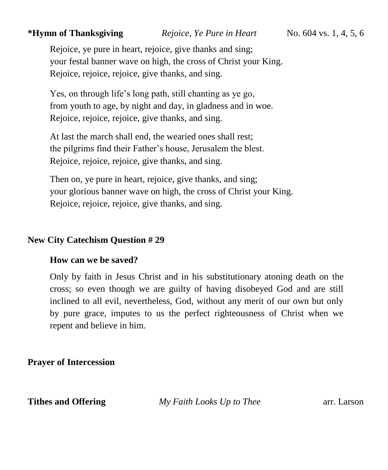## **\*Hymn of Thanksgiving** *Rejoice, Ye Pure in Heart* No. 604 vs. 1, 4, 5, 6

Rejoice, ye pure in heart, rejoice, give thanks and sing; your festal banner wave on high, the cross of Christ your King. Rejoice, rejoice, rejoice, give thanks, and sing.

Yes, on through life's long path, still chanting as ye go, from youth to age, by night and day, in gladness and in woe. Rejoice, rejoice, rejoice, give thanks, and sing.

At last the march shall end, the wearied ones shall rest; the pilgrims find their Father's house, Jerusalem the blest. Rejoice, rejoice, rejoice, give thanks, and sing.

Then on, ye pure in heart, rejoice, give thanks, and sing; your glorious banner wave on high, the cross of Christ your King. Rejoice, rejoice, rejoice, give thanks, and sing.

### **New City Catechism Question # 29**

#### **How can we be saved?**

Only by faith in Jesus Christ and in his substitutionary atoning death on the cross; so even though we are guilty of having disobeyed God and are still inclined to all evil, nevertheless, God, without any merit of our own but only by pure grace, imputes to us the perfect righteousness of Christ when we repent and believe in him.

**Prayer of Intercession**

**Tithes and Offering** *My Faith Looks Up to Thee* arr. Larson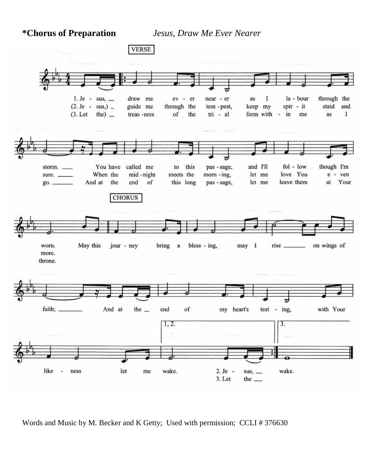**\*Chorus of Preparation** *Jesus, Draw Me Ever Nearer* 



Words and Music by M. Becker and K Getty; Used with permission; CCLI # 376630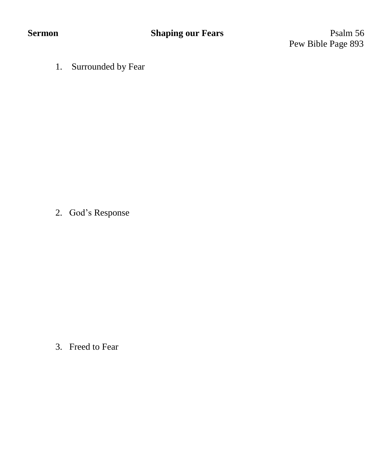Pew Bible Page 893

1. Surrounded by Fear

2. God's Response

3. Freed to Fear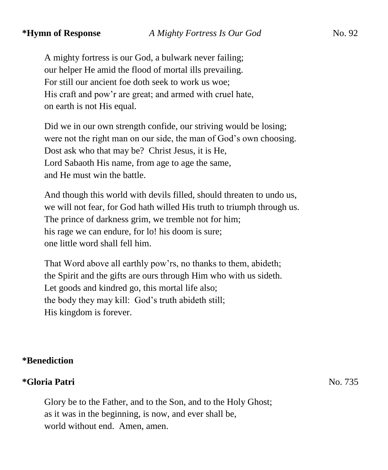A mighty fortress is our God, a bulwark never failing; our helper He amid the flood of mortal ills prevailing. For still our ancient foe doth seek to work us woe; His craft and pow'r are great; and armed with cruel hate, on earth is not His equal.

Did we in our own strength confide, our striving would be losing; were not the right man on our side, the man of God's own choosing. Dost ask who that may be? Christ Jesus, it is He, Lord Sabaoth His name, from age to age the same, and He must win the battle.

And though this world with devils filled, should threaten to undo us, we will not fear, for God hath willed His truth to triumph through us. The prince of darkness grim, we tremble not for him; his rage we can endure, for lo! his doom is sure; one little word shall fell him.

That Word above all earthly pow'rs, no thanks to them, abideth; the Spirit and the gifts are ours through Him who with us sideth. Let goods and kindred go, this mortal life also; the body they may kill: God's truth abideth still; His kingdom is forever.

# **\*Benediction**

# **\*Gloria Patri** No. 735

Glory be to the Father, and to the Son, and to the Holy Ghost; as it was in the beginning, is now, and ever shall be, world without end. Amen, amen.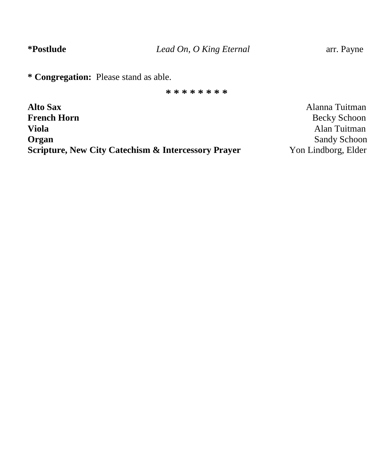**\* Congregation:** Please stand as able.

**\* \* \* \* \* \* \* \***

**Alto Sax** Alanna Tuitman **French Horn** Becky Schoon **Viola** Alan Tuitman **Organ** Sandy Schoon Sandy Schoon **Scripture, New City Catechism & Intercessory Prayer** Yon Lindborg, Elder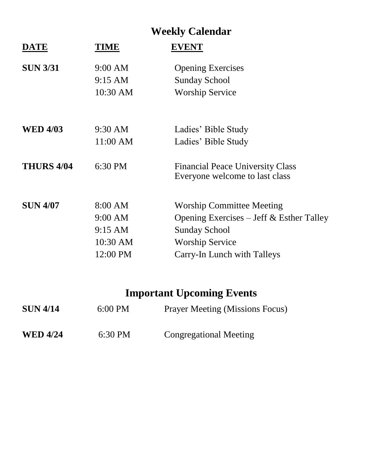# **Weekly Calendar**

| <b>DATE</b>       | TIME     | <b>EVENT</b>                                                              |
|-------------------|----------|---------------------------------------------------------------------------|
| <b>SUN 3/31</b>   | 9:00 AM  | <b>Opening Exercises</b>                                                  |
|                   | 9:15 AM  | <b>Sunday School</b>                                                      |
|                   | 10:30 AM | <b>Worship Service</b>                                                    |
|                   |          |                                                                           |
| <b>WED 4/03</b>   | 9:30 AM  | Ladies' Bible Study                                                       |
|                   | 11:00 AM | Ladies' Bible Study                                                       |
| <b>THURS 4/04</b> | 6:30 PM  | <b>Financial Peace University Class</b><br>Everyone welcome to last class |
| <b>SUN 4/07</b>   | 8:00 AM  | <b>Worship Committee Meeting</b>                                          |
|                   | 9:00 AM  | Opening Exercises – Jeff $&$ Esther Talley                                |
|                   | 9:15 AM  | <b>Sunday School</b>                                                      |
|                   | 10:30 AM | <b>Worship Service</b>                                                    |
|                   | 12:00 PM | Carry-In Lunch with Talleys                                               |

# **Important Upcoming Events**

| <b>SUN 4/14</b> | $6:00$ PM | <b>Prayer Meeting (Missions Focus)</b> |  |  |
|-----------------|-----------|----------------------------------------|--|--|
| <b>WED 4/24</b> | 6:30 PM   | <b>Congregational Meeting</b>          |  |  |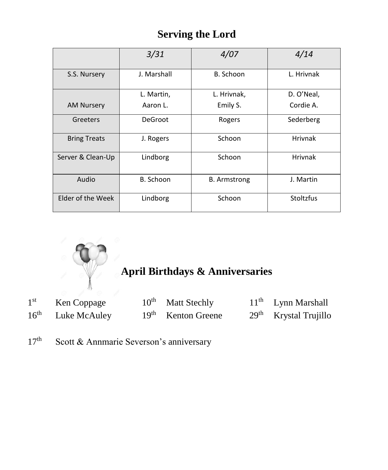# **Serving the Lord**

|                     | 3/31        | 4/07                | 4/14           |
|---------------------|-------------|---------------------|----------------|
| S.S. Nursery        | J. Marshall | B. Schoon           | L. Hrivnak     |
|                     | L. Martin,  | L. Hrivnak,         | D. O'Neal,     |
| <b>AM Nursery</b>   | Aaron L.    | Emily S.            | Cordie A.      |
| Greeters            | DeGroot     | Rogers              | Sederberg      |
| <b>Bring Treats</b> | J. Rogers   | Schoon              | <b>Hrivnak</b> |
| Server & Clean-Up   | Lindborg    | Schoon              | <b>Hrivnak</b> |
| Audio<br>B. Schoon  |             | <b>B.</b> Armstrong | J. Martin      |
| Elder of the Week   | Lindborg    | Schoon              | Stoltzfus      |



| 1 <sup>st</sup>  | Ken Coppage  | $10^{th}$ Matt Stechly | $11th$ Lynn Marshall    |
|------------------|--------------|------------------------|-------------------------|
| $16^{\text{th}}$ | Luke McAuley | $19th$ Kenton Greene   | $29th$ Krystal Trujillo |

17<sup>th</sup> Scott & Annmarie Severson's anniversary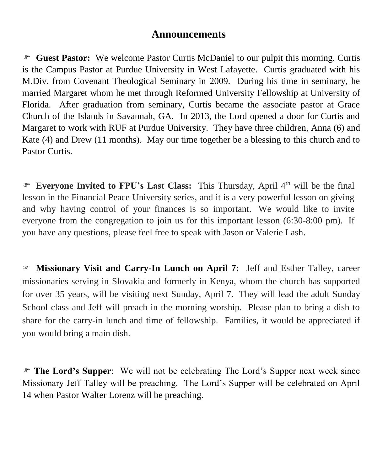# **Announcements**

 **Guest Pastor:** We welcome Pastor Curtis McDaniel to our pulpit this morning. Curtis is the Campus Pastor at Purdue University in West Lafayette. Curtis graduated with his M.Div. from Covenant Theological Seminary in 2009. During his time in seminary, he married Margaret whom he met through Reformed University Fellowship at University of Florida. After graduation from seminary, Curtis became the associate pastor at Grace Church of the Islands in Savannah, GA. In 2013, the Lord opened a door for Curtis and Margaret to work with RUF at Purdue University. They have three children, Anna (6) and Kate (4) and Drew (11 months). May our time together be a blessing to this church and to Pastor Curtis.

 **Everyone Invited to FPU's Last Class:** This Thursday, April 4 th will be the final lesson in the Financial Peace University series, and it is a very powerful lesson on giving and why having control of your finances is so important. We would like to invite everyone from the congregation to join us for this important lesson (6:30-8:00 pm). If you have any questions, please feel free to speak with Jason or Valerie Lash.

 **Missionary Visit and Carry-In Lunch on April 7:** Jeff and Esther Talley, career missionaries serving in Slovakia and formerly in Kenya, whom the church has supported for over 35 years, will be visiting next Sunday, April 7. They will lead the adult Sunday School class and Jeff will preach in the morning worship. Please plan to bring a dish to share for the carry-in lunch and time of fellowship. Families, it would be appreciated if you would bring a main dish.

 **The Lord's Supper**: We will not be celebrating The Lord's Supper next week since Missionary Jeff Talley will be preaching. The Lord's Supper will be celebrated on April 14 when Pastor Walter Lorenz will be preaching.